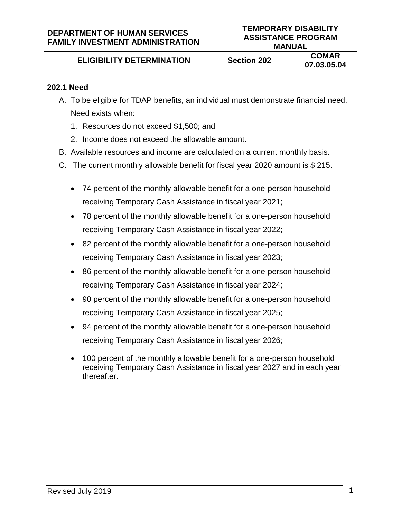# **ELIGIBILITY DETERMINATION** Section 202 **COMAR**

#### **202.1 Need**

- A. To be eligible for TDAP benefits, an individual must demonstrate financial need. Need exists when:
	- 1. Resources do not exceed \$1,500; and
	- 2. Income does not exceed the allowable amount.
- B. Available resources and income are calculated on a current monthly basis.
- C. The current monthly allowable benefit for fiscal year 2020 amount is \$ 215.
	- 74 percent of the monthly allowable benefit for a one-person household receiving Temporary Cash Assistance in fiscal year 2021;
	- 78 percent of the monthly allowable benefit for a one-person household receiving Temporary Cash Assistance in fiscal year 2022;
	- 82 percent of the monthly allowable benefit for a one-person household receiving Temporary Cash Assistance in fiscal year 2023;
	- 86 percent of the monthly allowable benefit for a one-person household receiving Temporary Cash Assistance in fiscal year 2024;
	- 90 percent of the monthly allowable benefit for a one-person household receiving Temporary Cash Assistance in fiscal year 2025;
	- 94 percent of the monthly allowable benefit for a one-person household receiving Temporary Cash Assistance in fiscal year 2026;
	- 100 percent of the monthly allowable benefit for a one-person household receiving Temporary Cash Assistance in fiscal year 2027 and in each year thereafter.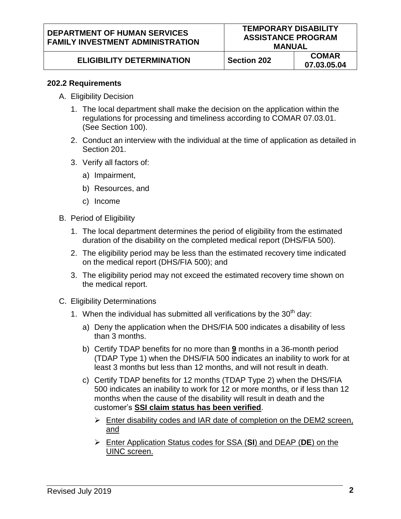### **ELIGIBILITY DETERMINATION** Section 202 COMAR

#### **202.2 Requirements**

- A. Eligibility Decision
	- 1. The local department shall make the decision on the application within the regulations for processing and timeliness according to COMAR 07.03.01. (See Section 100).
	- 2. Conduct an interview with the individual at the time of application as detailed in Section 201.
	- 3. Verify all factors of:
		- a) Impairment,
		- b) Resources, and
		- c) Income
- B. Period of Eligibility
	- 1. The local department determines the period of eligibility from the estimated duration of the disability on the completed medical report (DHS/FIA 500).
	- 2. The eligibility period may be less than the estimated recovery time indicated on the medical report (DHS/FIA 500); and
	- 3. The eligibility period may not exceed the estimated recovery time shown on the medical report.
- C. Eligibility Determinations
	- 1. When the individual has submitted all verifications by the  $30<sup>th</sup>$  day:
		- a) Deny the application when the DHS/FIA 500 indicates a disability of less than 3 months.
		- b) Certify TDAP benefits for no more than **9** months in a 36-month period (TDAP Type 1) when the DHS/FIA 500 indicates an inability to work for at least 3 months but less than 12 months, and will not result in death.
		- c) Certify TDAP benefits for 12 months (TDAP Type 2) when the DHS/FIA 500 indicates an inability to work for 12 or more months, or if less than 12 months when the cause of the disability will result in death and the customer's **SSI claim status has been verified**.
			- $\triangleright$  Enter disability codes and IAR date of completion on the DEM2 screen, and
			- Enter Application Status codes for SSA (**SI**) and DEAP (**DE**) on the UINC screen.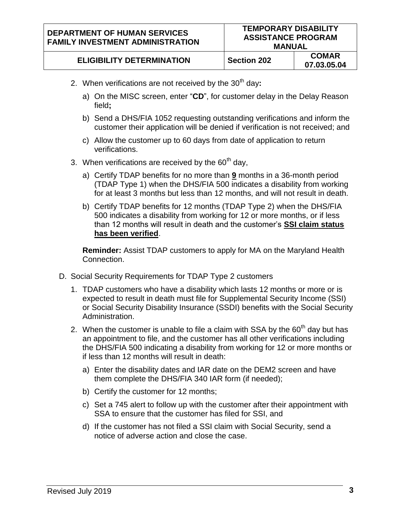#### **DEPARTMENT OF HUMAN SERVICES FAMILY INVESTMENT ADMINISTRATION**

## **ELIGIBILITY DETERMINATION** Section 202 COMAR

- 2. When verifications are not received by the 30<sup>th</sup> day:
	- a) On the MISC screen, enter "**CD**", for customer delay in the Delay Reason field**;**
	- b) Send a DHS/FIA 1052 requesting outstanding verifications and inform the customer their application will be denied if verification is not received; and
	- c) Allow the customer up to 60 days from date of application to return verifications.
- 3. When verifications are received by the  $60<sup>th</sup>$  dav,
	- a) Certify TDAP benefits for no more than **9** months in a 36-month period (TDAP Type 1) when the DHS/FIA 500 indicates a disability from working for at least 3 months but less than 12 months, and will not result in death.
	- b) Certify TDAP benefits for 12 months (TDAP Type 2) when the DHS/FIA 500 indicates a disability from working for 12 or more months, or if less than 12 months will result in death and the customer's **SSI claim status has been verified**.

**Reminder:** Assist TDAP customers to apply for MA on the Maryland Health Connection.

- D. Social Security Requirements for TDAP Type 2 customers
	- 1. TDAP customers who have a disability which lasts 12 months or more or is expected to result in death must file for Supplemental Security Income (SSI) or Social Security Disability Insurance (SSDI) benefits with the Social Security Administration.
	- 2. When the customer is unable to file a claim with SSA by the  $60<sup>th</sup>$  day but has an appointment to file, and the customer has all other verifications including the DHS/FIA 500 indicating a disability from working for 12 or more months or if less than 12 months will result in death:
		- a) Enter the disability dates and IAR date on the DEM2 screen and have them complete the DHS/FIA 340 IAR form (if needed);
		- b) Certify the customer for 12 months;
		- c) Set a 745 alert to follow up with the customer after their appointment with SSA to ensure that the customer has filed for SSI, and
		- d) If the customer has not filed a SSI claim with Social Security, send a notice of adverse action and close the case.